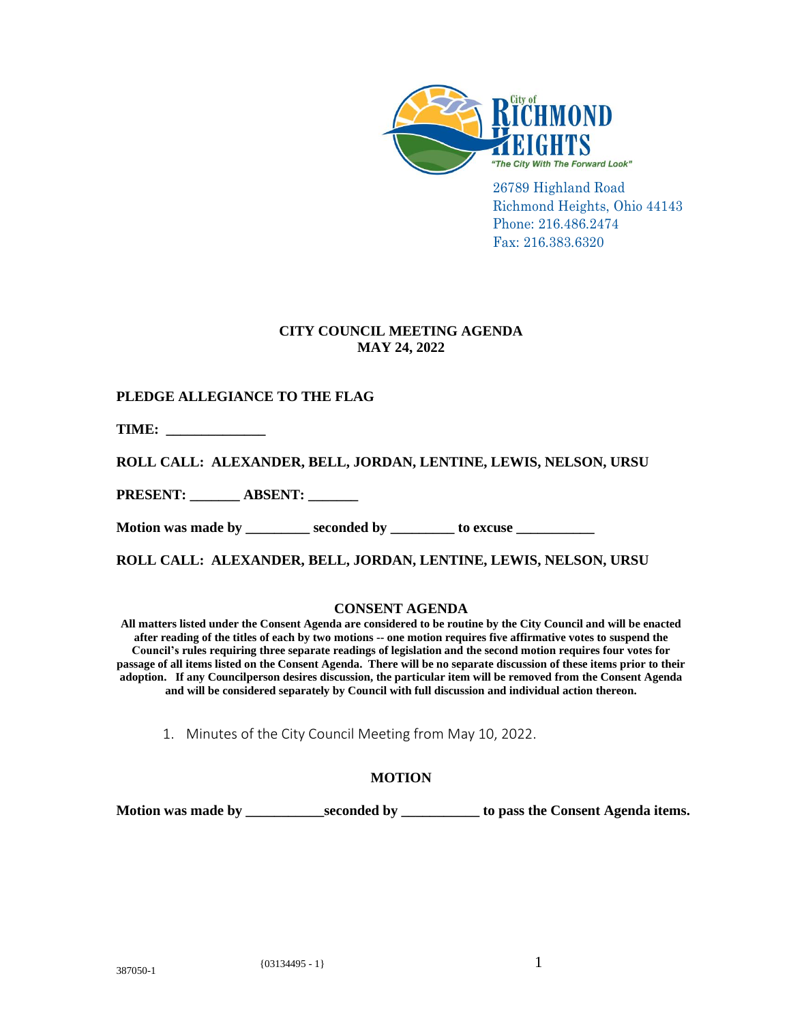

26789 Highland Road Richmond Heights, Ohio 44143 Phone: 216.486.2474 Fax: 216.383.6320

### **CITY COUNCIL MEETING AGENDA MAY 24, 2022**

# **PLEDGE ALLEGIANCE TO THE FLAG**

**TIME: \_\_\_\_\_\_\_\_\_\_\_\_\_\_**

**ROLL CALL: ALEXANDER, BELL, JORDAN, LENTINE, LEWIS, NELSON, URSU**

**PRESENT: \_\_\_\_\_\_\_ ABSENT: \_\_\_\_\_\_\_**

**Motion was made by \_\_\_\_\_\_\_\_\_ seconded by \_\_\_\_\_\_\_\_\_ to excuse \_\_\_\_\_\_\_\_\_\_\_**

**ROLL CALL: ALEXANDER, BELL, JORDAN, LENTINE, LEWIS, NELSON, URSU**

#### **CONSENT AGENDA**

**All matters listed under the Consent Agenda are considered to be routine by the City Council and will be enacted after reading of the titles of each by two motions -- one motion requires five affirmative votes to suspend the Council's rules requiring three separate readings of legislation and the second motion requires four votes for passage of all items listed on the Consent Agenda. There will be no separate discussion of these items prior to their adoption. If any Councilperson desires discussion, the particular item will be removed from the Consent Agenda and will be considered separately by Council with full discussion and individual action thereon.**

1. Minutes of the City Council Meeting from May 10, 2022.

# **MOTION**

**Motion was made by \_\_\_\_\_\_\_\_\_\_\_seconded by \_\_\_\_\_\_\_\_\_\_\_ to pass the Consent Agenda items.**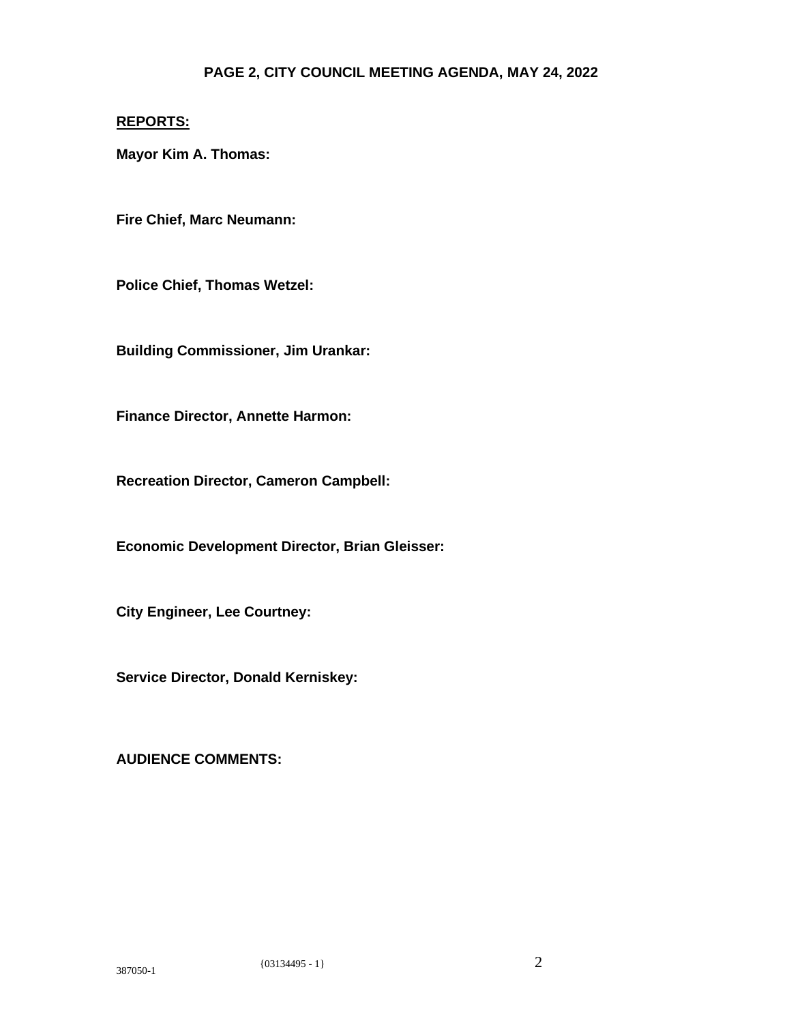### **PAGE 2, CITY COUNCIL MEETING AGENDA, MAY 24, 2022**

# **REPORTS:**

**Mayor Kim A. Thomas:**

**Fire Chief, Marc Neumann:**

**Police Chief, Thomas Wetzel:**

**Building Commissioner, Jim Urankar:**

**Finance Director, Annette Harmon:**

**Recreation Director, Cameron Campbell:**

**Economic Development Director, Brian Gleisser:**

**City Engineer, Lee Courtney:**

**Service Director, Donald Kerniskey:**

**AUDIENCE COMMENTS:**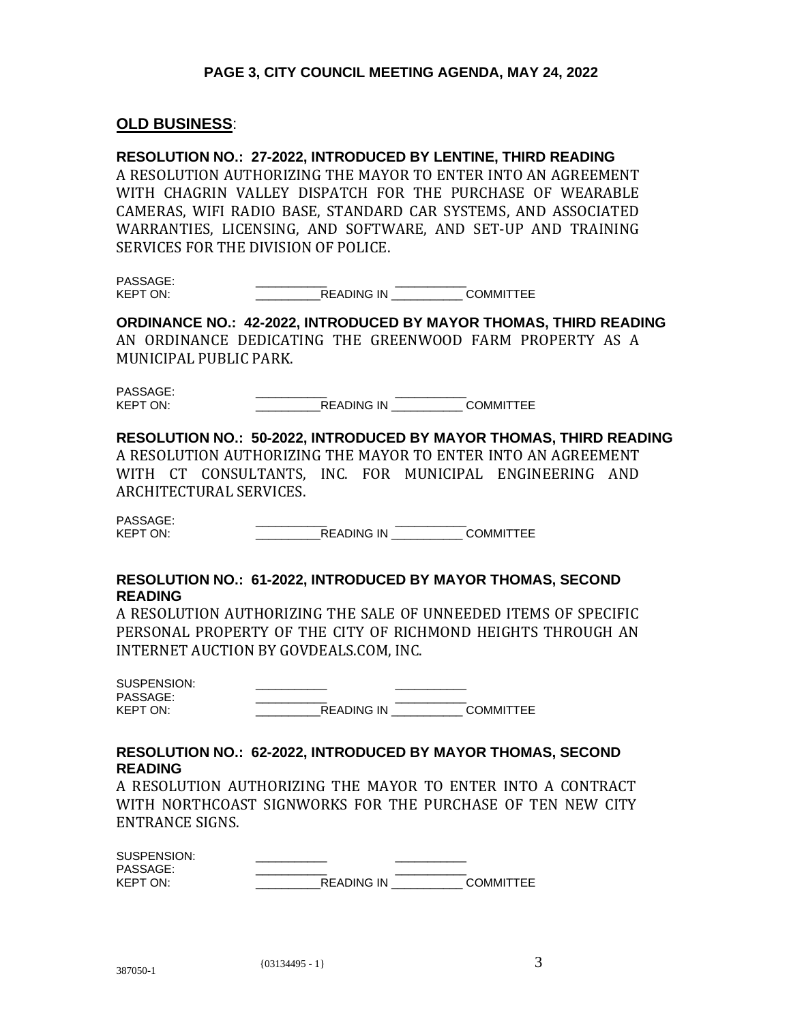#### **PAGE 3, CITY COUNCIL MEETING AGENDA, MAY 24, 2022**

#### **OLD BUSINESS**:

**RESOLUTION NO.: 27-2022, INTRODUCED BY LENTINE, THIRD READING** A RESOLUTION AUTHORIZING THE MAYOR TO ENTER INTO AN AGREEMENT WITH CHAGRIN VALLEY DISPATCH FOR THE PURCHASE OF WEARABLE CAMERAS, WIFI RADIO BASE, STANDARD CAR SYSTEMS, AND ASSOCIATED WARRANTIES, LICENSING, AND SOFTWARE, AND SET-UP AND TRAINING SERVICES FOR THE DIVISION OF POLICE.

 $PASSAGF$ KEPT ON: THE READING IN THE COMMITTEE

**ORDINANCE NO.: 42-2022, INTRODUCED BY MAYOR THOMAS, THIRD READING** AN ORDINANCE DEDICATING THE GREENWOOD FARM PROPERTY AS A MUNICIPAL PUBLIC PARK.

PASSAGE: KEPT ON: THE READING IN THE COMMITTEE

**RESOLUTION NO.: 50-2022, INTRODUCED BY MAYOR THOMAS, THIRD READING**

A RESOLUTION AUTHORIZING THE MAYOR TO ENTER INTO AN AGREEMENT WITH CT CONSULTANTS, INC. FOR MUNICIPAL ENGINEERING AND ARCHITECTURAL SERVICES.

PASSAGE:<br>KEPT ON: READING IN **WE COMMITTEE** 

#### **RESOLUTION NO.: 61-2022, INTRODUCED BY MAYOR THOMAS, SECOND READING**

A RESOLUTION AUTHORIZING THE SALE OF UNNEEDED ITEMS OF SPECIFIC PERSONAL PROPERTY OF THE CITY OF RICHMOND HEIGHTS THROUGH AN INTERNET AUCTION BY GOVDEALS.COM, INC.

SUSPENSION: PASSAGE:<br>KEPT ON: READING IN COMMITTEE

#### **RESOLUTION NO.: 62-2022, INTRODUCED BY MAYOR THOMAS, SECOND READING**

A RESOLUTION AUTHORIZING THE MAYOR TO ENTER INTO A CONTRACT WITH NORTHCOAST SIGNWORKS FOR THE PURCHASE OF TEN NEW CITY ENTRANCE SIGNS.

| SUSPENSION:<br>PASSAGE: |                   |           |
|-------------------------|-------------------|-----------|
| <b>KEPT ON:</b>         | <b>READING IN</b> | COMMITTEE |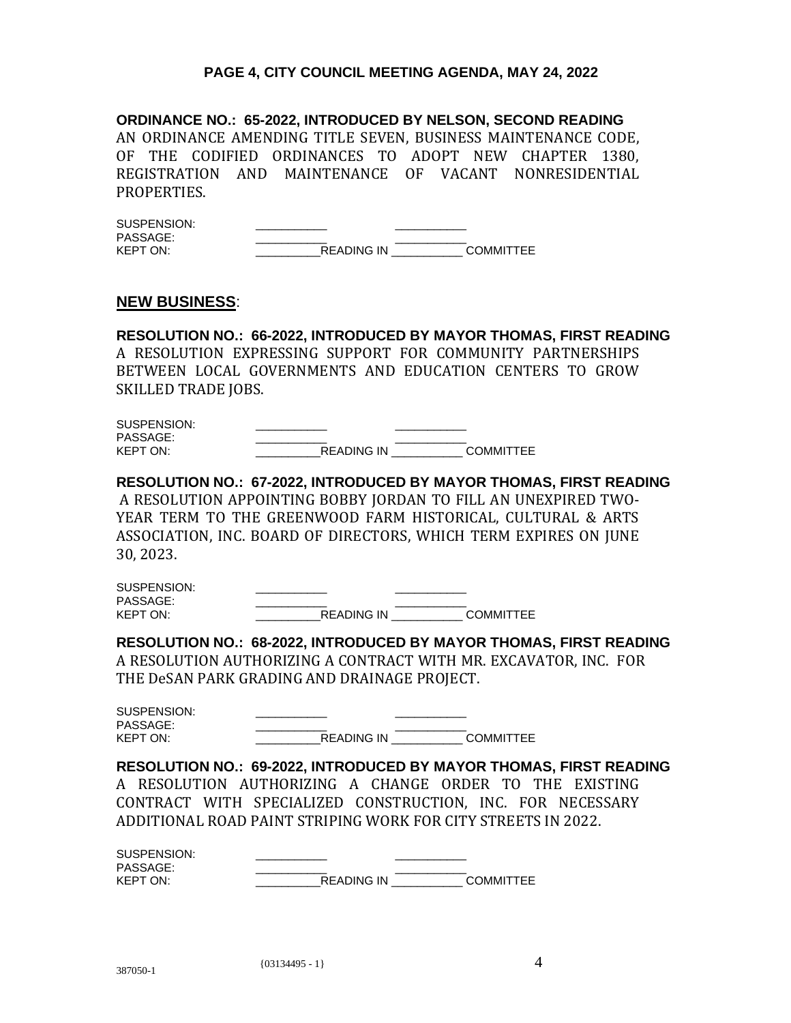#### **PAGE 4, CITY COUNCIL MEETING AGENDA, MAY 24, 2022**

#### **ORDINANCE NO.: 65-2022, INTRODUCED BY NELSON, SECOND READING**

AN ORDINANCE AMENDING TITLE SEVEN, BUSINESS MAINTENANCE CODE, OF THE CODIFIED ORDINANCES TO ADOPT NEW CHAPTER 1380, REGISTRATION AND MAINTENANCE OF VACANT NONRESIDENTIAL PROPERTIES.

| SUSPENSION:     |                   |           |
|-----------------|-------------------|-----------|
| PASSAGE:        |                   |           |
| <b>KEPT ON:</b> | <b>READING IN</b> | COMMITTEE |

#### **NEW BUSINESS**:

**RESOLUTION NO.: 66-2022, INTRODUCED BY MAYOR THOMAS, FIRST READING** A RESOLUTION EXPRESSING SUPPORT FOR COMMUNITY PARTNERSHIPS BETWEEN LOCAL GOVERNMENTS AND EDUCATION CENTERS TO GROW SKILLED TRADE JOBS.

| SUSPENSION:     |                   |           |
|-----------------|-------------------|-----------|
| PASSAGE:        |                   |           |
| <b>KEPT ON:</b> | <b>READING IN</b> | COMMITTEE |

**RESOLUTION NO.: 67-2022, INTRODUCED BY MAYOR THOMAS, FIRST READING** A RESOLUTION APPOINTING BOBBY JORDAN TO FILL AN UNEXPIRED TWO-YEAR TERM TO THE GREENWOOD FARM HISTORICAL, CULTURAL & ARTS ASSOCIATION, INC. BOARD OF DIRECTORS, WHICH TERM EXPIRES ON JUNE 30, 2023.

| SUSPENSION:     |                   |           |
|-----------------|-------------------|-----------|
| PASSAGE:        |                   |           |
| <b>KEPT ON:</b> | <b>READING IN</b> | COMMITTEE |

**RESOLUTION NO.: 68-2022, INTRODUCED BY MAYOR THOMAS, FIRST READING** A RESOLUTION AUTHORIZING A CONTRACT WITH MR. EXCAVATOR, INC. FOR THE DeSAN PARK GRADING AND DRAINAGE PROJECT.

| <b>SUSPENSION:</b><br>PASSAGE: |                   |           |
|--------------------------------|-------------------|-----------|
| <b>KEPT ON:</b>                | <b>READING IN</b> | COMMITTEE |

**RESOLUTION NO.: 69-2022, INTRODUCED BY MAYOR THOMAS, FIRST READING** A RESOLUTION AUTHORIZING A CHANGE ORDER TO THE EXISTING CONTRACT WITH SPECIALIZED CONSTRUCTION, INC. FOR NECESSARY ADDITIONAL ROAD PAINT STRIPING WORK FOR CITY STREETS IN 2022.

| SUSPENSION:     |                   |           |
|-----------------|-------------------|-----------|
| PASSAGE:        |                   |           |
| <b>KEPT ON:</b> | <b>READING IN</b> | COMMITTEE |